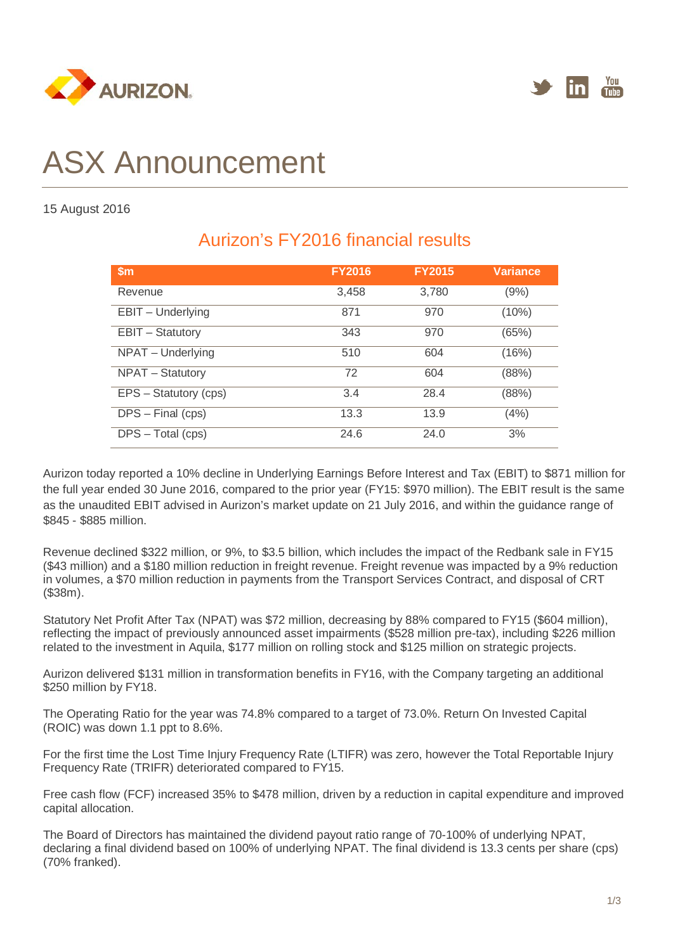



# ASX Announcement

#### 15 August 2016

| $\mathsf{Sm}$         | <b>FY2016</b> | <b>FY2015</b> | <b>Variance</b> |
|-----------------------|---------------|---------------|-----------------|
| Revenue               | 3,458         | 3,780         | (9%)            |
| EBIT - Underlying     | 871           | 970           | (10%)           |
| EBIT - Statutory      | 343           | 970           | (65%)           |
| NPAT - Underlying     | 510           | 604           | (16%)           |
| NPAT - Statutory      | 72            | 604           | (88%)           |
| EPS - Statutory (cps) | 3.4           | 28.4          | (88%)           |
| DPS - Final (cps)     | 13.3          | 13.9          | (4%)            |
| DPS - Total (cps)     | 24.6          | 24.0          | 3%              |

# Aurizon's FY2016 financial results

Aurizon today reported a 10% decline in Underlying Earnings Before Interest and Tax (EBIT) to \$871 million for the full year ended 30 June 2016, compared to the prior year (FY15: \$970 million). The EBIT result is the same as the unaudited EBIT advised in Aurizon's market update on 21 July 2016, and within the guidance range of \$845 - \$885 million.

Revenue declined \$322 million, or 9%, to \$3.5 billion, which includes the impact of the Redbank sale in FY15 (\$43 million) and a \$180 million reduction in freight revenue. Freight revenue was impacted by a 9% reduction in volumes, a \$70 million reduction in payments from the Transport Services Contract, and disposal of CRT (\$38m).

Statutory Net Profit After Tax (NPAT) was \$72 million, decreasing by 88% compared to FY15 (\$604 million), reflecting the impact of previously announced asset impairments (\$528 million pre-tax), including \$226 million related to the investment in Aquila, \$177 million on rolling stock and \$125 million on strategic projects.

Aurizon delivered \$131 million in transformation benefits in FY16, with the Company targeting an additional \$250 million by FY18.

The Operating Ratio for the year was 74.8% compared to a target of 73.0%. Return On Invested Capital (ROIC) was down 1.1 ppt to 8.6%.

For the first time the Lost Time Injury Frequency Rate (LTIFR) was zero, however the Total Reportable Injury Frequency Rate (TRIFR) deteriorated compared to FY15.

Free cash flow (FCF) increased 35% to \$478 million, driven by a reduction in capital expenditure and improved capital allocation.

The Board of Directors has maintained the dividend payout ratio range of 70-100% of underlying NPAT, declaring a final dividend based on 100% of underlying NPAT. The final dividend is 13.3 cents per share (cps) (70% franked).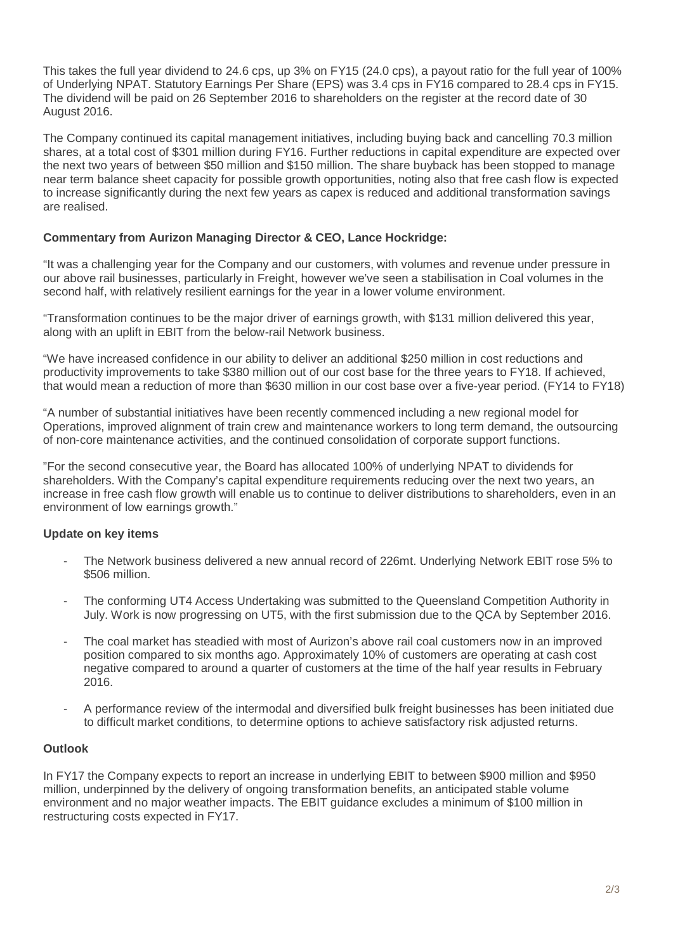This takes the full year dividend to 24.6 cps, up 3% on FY15 (24.0 cps), a payout ratio for the full year of 100% of Underlying NPAT. Statutory Earnings Per Share (EPS) was 3.4 cps in FY16 compared to 28.4 cps in FY15. The dividend will be paid on 26 September 2016 to shareholders on the register at the record date of 30 August 2016.

The Company continued its capital management initiatives, including buying back and cancelling 70.3 million shares, at a total cost of \$301 million during FY16. Further reductions in capital expenditure are expected over the next two years of between \$50 million and \$150 million. The share buyback has been stopped to manage near term balance sheet capacity for possible growth opportunities, noting also that free cash flow is expected to increase significantly during the next few years as capex is reduced and additional transformation savings are realised.

#### **Commentary from Aurizon Managing Director & CEO, Lance Hockridge:**

"It was a challenging year for the Company and our customers, with volumes and revenue under pressure in our above rail businesses, particularly in Freight, however we've seen a stabilisation in Coal volumes in the second half, with relatively resilient earnings for the year in a lower volume environment.

"Transformation continues to be the major driver of earnings growth, with \$131 million delivered this year, along with an uplift in EBIT from the below-rail Network business.

"We have increased confidence in our ability to deliver an additional \$250 million in cost reductions and productivity improvements to take \$380 million out of our cost base for the three years to FY18. If achieved, that would mean a reduction of more than \$630 million in our cost base over a five-year period. (FY14 to FY18)

"A number of substantial initiatives have been recently commenced including a new regional model for Operations, improved alignment of train crew and maintenance workers to long term demand, the outsourcing of non-core maintenance activities, and the continued consolidation of corporate support functions.

"For the second consecutive year, the Board has allocated 100% of underlying NPAT to dividends for shareholders. With the Company's capital expenditure requirements reducing over the next two years, an increase in free cash flow growth will enable us to continue to deliver distributions to shareholders, even in an environment of low earnings growth."

## **Update on key items**

- The Network business delivered a new annual record of 226mt. Underlying Network EBIT rose 5% to \$506 million.
- The conforming UT4 Access Undertaking was submitted to the Queensland Competition Authority in July. Work is now progressing on UT5, with the first submission due to the QCA by September 2016.
- The coal market has steadied with most of Aurizon's above rail coal customers now in an improved position compared to six months ago. Approximately 10% of customers are operating at cash cost negative compared to around a quarter of customers at the time of the half year results in February 2016.
- A performance review of the intermodal and diversified bulk freight businesses has been initiated due to difficult market conditions, to determine options to achieve satisfactory risk adjusted returns.

## **Outlook**

In FY17 the Company expects to report an increase in underlying EBIT to between \$900 million and \$950 million, underpinned by the delivery of ongoing transformation benefits, an anticipated stable volume environment and no major weather impacts. The EBIT guidance excludes a minimum of \$100 million in restructuring costs expected in FY17.